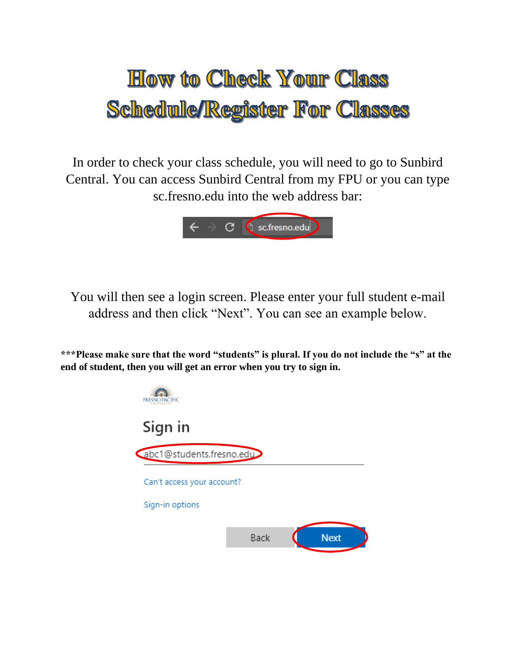# **How to Check Your Class Schedule/Register For Classes**

In order to check your class schedule, you will need to go to Sunbird Central. You can access Sunbird Central from my FPU or you can type sc.fresno.edu into the web address bar:



You will then see a login screen. Please enter your full student e-mail address and then click "Next". You can see an example below.

**\*\*\*Please make sure that the word "students" is plural. If you do not include the "s" at the end of student, then you will get an error when you try to sign in.** 

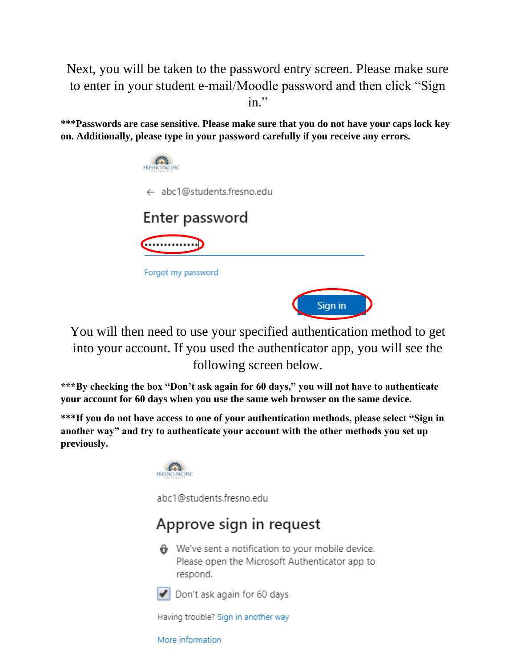Next, you will be taken to the password entry screen. Please make sure to enter in your student e-mail/Moodle password and then click "Sign in."

**\*\*\*Passwords are case sensitive. Please make sure that you do not have your caps lock key on. Additionally, please type in your password carefully if you receive any errors.**



You will then need to use your specified authentication method to get into your account. If you used the authenticator app, you will see the following screen below.

**\*\*\*By checking the box "Don't ask again for 60 days," you will not have to authenticate your account for 60 days when you use the same web browser on the same device.** 

**\*\*\*If you do not have access to one of your authentication methods, please select "Sign in another way" and try to authenticate your account with the other methods you set up previously.** 



abc1@students.fresno.edu

## Approve sign in request

We've sent a notification to your mobile device. Please open the Microsoft Authenticator app to respond.



Don't ask again for 60 days

Having trouble? Sign in another way

More information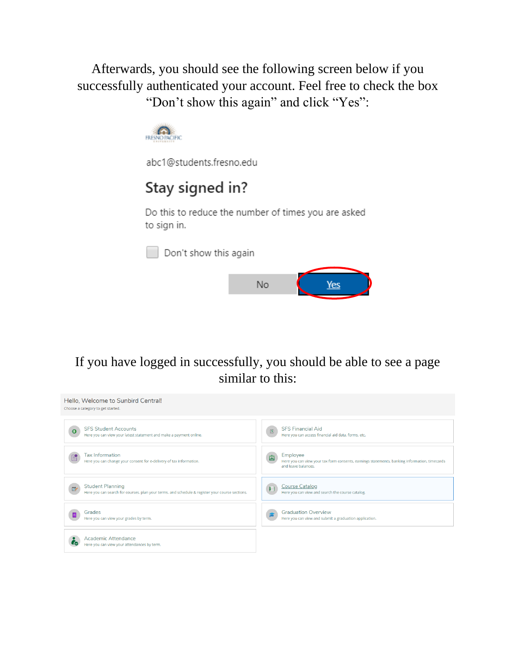Afterwards, you should see the following screen below if you successfully authenticated your account. Feel free to check the box "Don't show this again" and click "Yes":



abc1@students.fresno.edu

## Stay signed in?

Do this to reduce the number of times you are asked to sign in.

Don't show this again



If you have logged in successfully, you should be able to see a page similar to this:

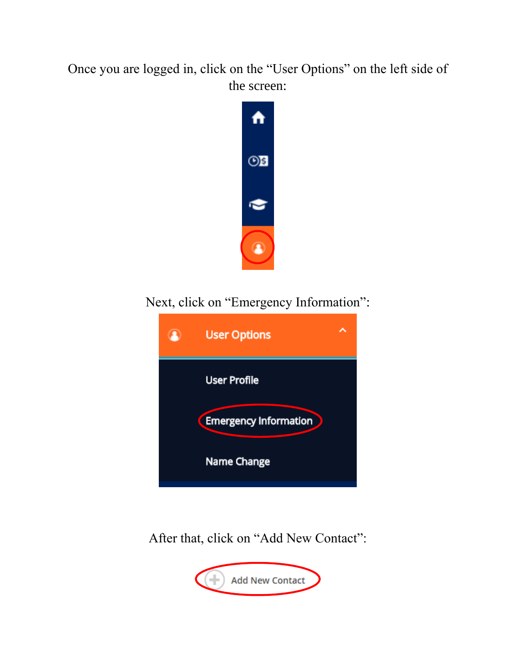Once you are logged in, click on the "User Options" on the left side of the screen:



Next, click on "Emergency Information":



After that, click on "Add New Contact":

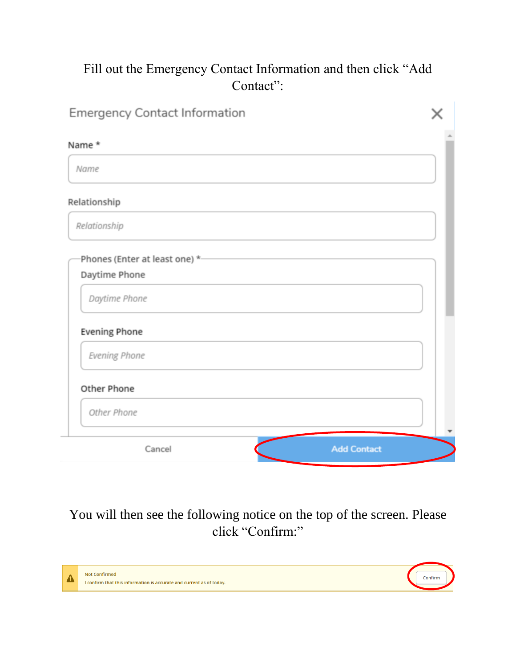### Fill out the Emergency Contact Information and then click "Add Contact":

| <b>Emergency Contact Information</b> |  |
|--------------------------------------|--|
| Name *                               |  |
| Name                                 |  |
| Relationship                         |  |
| Relationship                         |  |
| Phones (Enter at least one) *-       |  |
| Daytime Phone                        |  |
| Daytime Phone                        |  |
| <b>Evening Phone</b>                 |  |
| Evening Phone                        |  |
| Other Phone                          |  |
| Other Phone                          |  |
| <b>Add Contact</b><br>Cancel         |  |

You will then see the following notice on the top of the screen. Please click "Confirm:"

| <b>Not Confirmed</b><br>I confirm that this information is accurate and current as of today. |  |
|----------------------------------------------------------------------------------------------|--|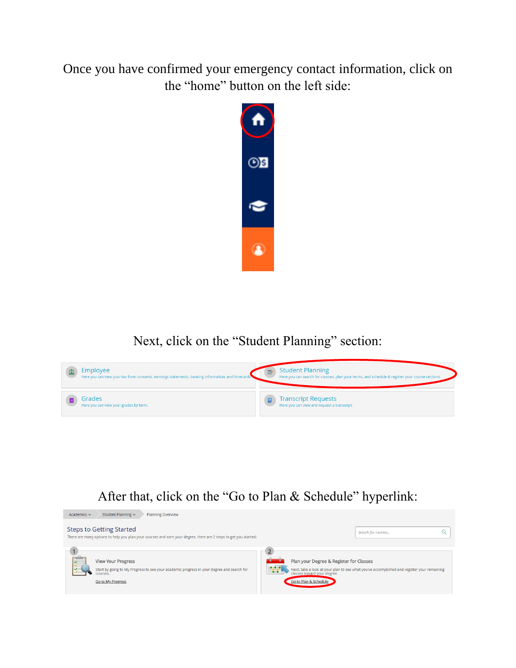Once you have confirmed your emergency contact information, click on the "home" button on the left side:



Next, click on the "Student Planning" section:



#### After that, click on the "Go to Plan & Schedule" hyperlink:

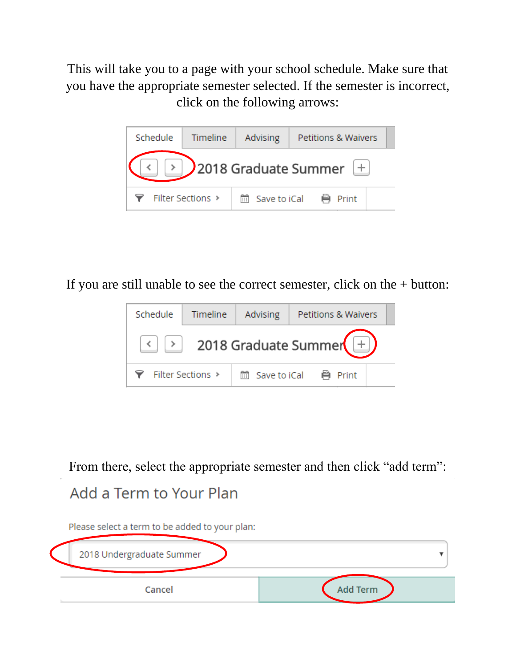This will take you to a page with your school schedule. Make sure that you have the appropriate semester selected. If the semester is incorrect, click on the following arrows:



If you are still unable to see the correct semester, click on the + button:



From there, select the appropriate semester and then click "add term":

## Add a Term to Your Plan

Please select a term to be added to your plan:

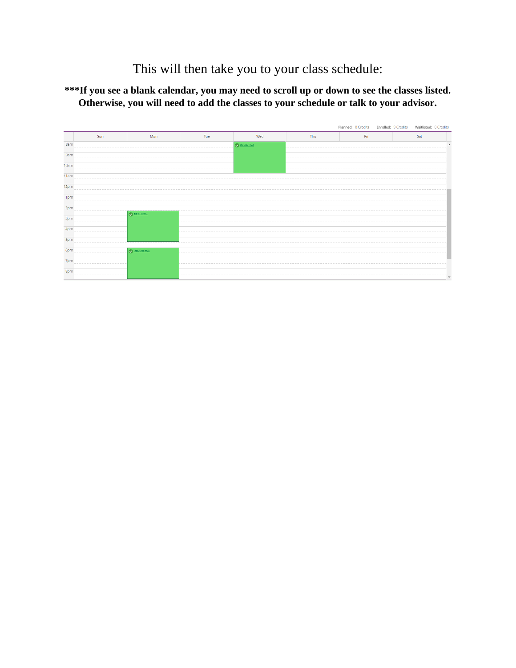This will then take you to your class schedule:

**\*\*\*If you see a blank calendar, you may need to scroll up or down to see the classes listed. Otherwise, you will need to add the classes to your schedule or talk to your advisor.** 

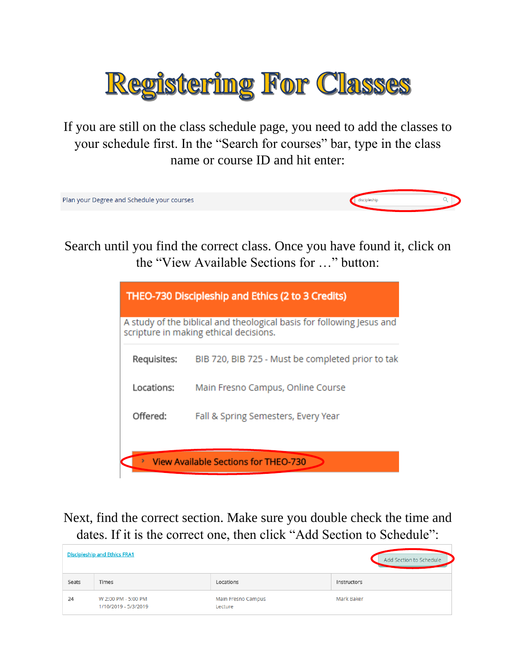

If you are still on the class schedule page, you need to add the classes to your schedule first. In the "Search for courses" bar, type in the class name or course ID and hit enter:



Search until you find the correct class. Once you have found it, click on the "View Available Sections for …" button:

| <b>THEO-730 Discipleship and Ethics (2 to 3 Credits)</b> |                                                                                                                 |  |  |  |  |  |
|----------------------------------------------------------|-----------------------------------------------------------------------------------------------------------------|--|--|--|--|--|
|                                                          | A study of the biblical and theological basis for following Jesus and<br>scripture in making ethical decisions. |  |  |  |  |  |
| Requisites:                                              | BIB 720, BIB 725 - Must be completed prior to tak                                                               |  |  |  |  |  |
| Locations:                                               | Main Fresno Campus, Online Course                                                                               |  |  |  |  |  |
| Offered:                                                 | Fall & Spring Semesters, Every Year                                                                             |  |  |  |  |  |
|                                                          | <b>View Available Sections for THEO-730</b>                                                                     |  |  |  |  |  |

Next, find the correct section. Make sure you double check the time and dates. If it is the correct one, then click "Add Section to Schedule":

| <b>Discipleship and Ethics FRA1</b> |                                             |                               | Add Section to Schedule |
|-------------------------------------|---------------------------------------------|-------------------------------|-------------------------|
| Seats                               | Times                                       | Locations                     | Instructors             |
| 24                                  | W 2:00 PM - 5:00 PM<br>1/10/2019 - 5/3/2019 | Main Fresno Campus<br>Lecture | Mark Baker              |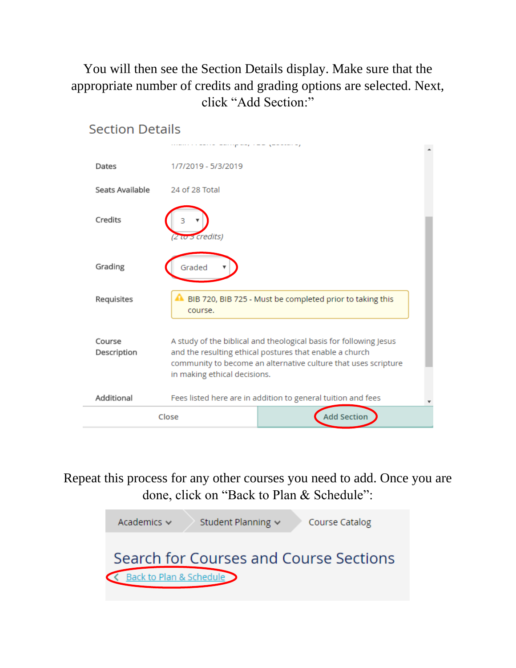You will then see the Section Details display. Make sure that the appropriate number of credits and grading options are selected. Next, click "Add Section:"



Repeat this process for any other courses you need to add. Once you are done, click on "Back to Plan & Schedule":